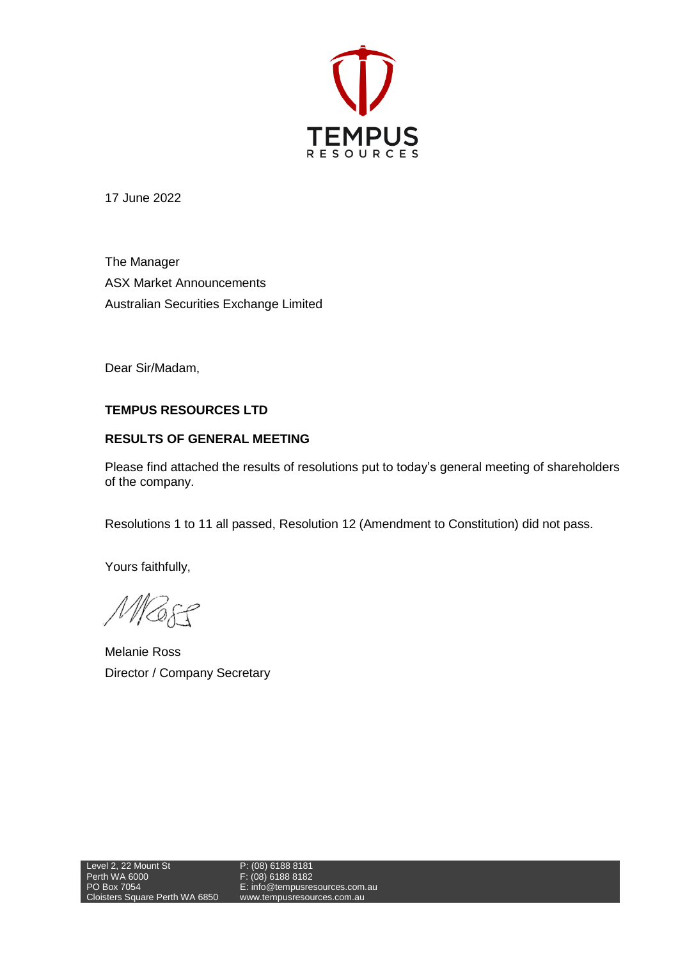

17 June 2022

The Manager ASX Market Announcements Australian Securities Exchange Limited

Dear Sir/Madam,

## **TEMPUS RESOURCES LTD**

## **RESULTS OF GENERAL MEETING**

Please find attached the results of resolutions put to today's general meeting of shareholders of the company.

Resolutions 1 to 11 all passed, Resolution 12 (Amendment to Constitution) did not pass.

Yours faithfully,

MBSS

Melanie Ross Director / Company Secretary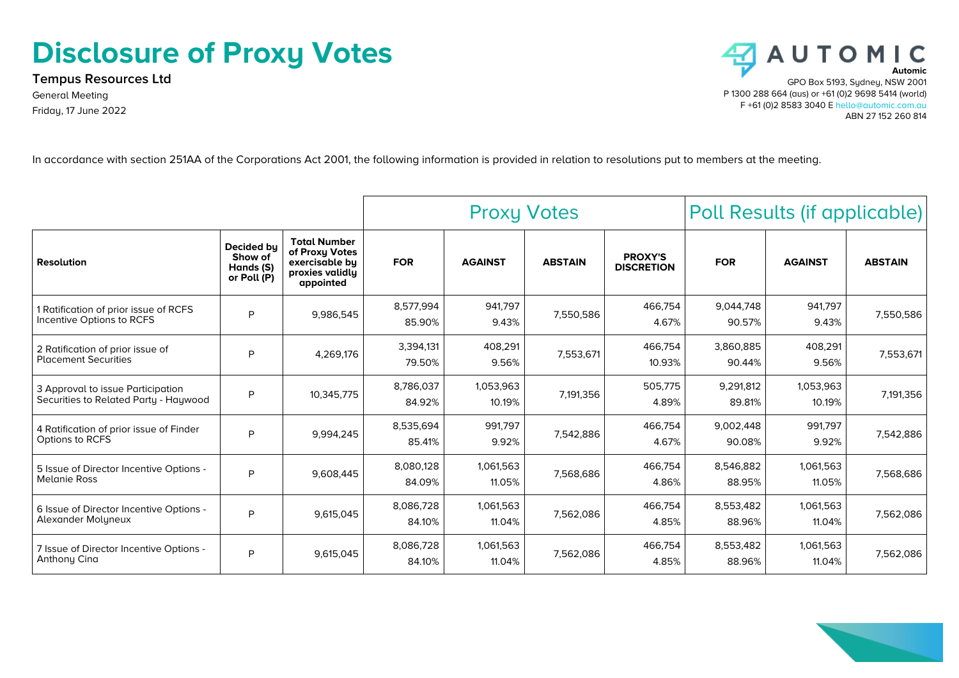## **Disclosure of Proxy Votes**

**Tempus Resources Ltd** General Meeting Friday, 17 June 2022



In accordance with section 251AA of the Corporations Act 2001, the following information is provided in relation to resolutions put to members at the meeting.

|                                                                            |                                                   |                                                                                         | <b>Proxy Votes</b>  |                     |                | Poll Results (if applicable)        |                     |                     |                |
|----------------------------------------------------------------------------|---------------------------------------------------|-----------------------------------------------------------------------------------------|---------------------|---------------------|----------------|-------------------------------------|---------------------|---------------------|----------------|
| <b>Resolution</b>                                                          | Decided by<br>Show of<br>Hands (S)<br>or Poll (P) | <b>Total Number</b><br>of Proxy Votes<br>exercisable by<br>proxies validly<br>appointed | <b>FOR</b>          | <b>AGAINST</b>      | <b>ABSTAIN</b> | <b>PROXY'S</b><br><b>DISCRETION</b> | <b>FOR</b>          | <b>AGAINST</b>      | <b>ABSTAIN</b> |
| 1 Ratification of prior issue of RCFS<br>Incentive Options to RCFS         | P                                                 | 9,986,545                                                                               | 8,577,994<br>85.90% | 941,797<br>9.43%    | 7,550,586      | 466,754<br>4.67%                    | 9,044,748<br>90.57% | 941,797<br>9.43%    | 7,550,586      |
| 2 Ratification of prior issue of<br><b>Placement Securities</b>            | P                                                 | 4,269,176                                                                               | 3,394,131<br>79.50% | 408,291<br>9.56%    | 7,553,671      | 466,754<br>10.93%                   | 3,860,885<br>90.44% | 408,291<br>9.56%    | 7,553,671      |
| 3 Approval to issue Participation<br>Securities to Related Party - Haywood | P                                                 | 10,345,775                                                                              | 8,786,037<br>84.92% | 1,053,963<br>10.19% | 7,191,356      | 505,775<br>4.89%                    | 9,291,812<br>89.81% | 1,053,963<br>10.19% | 7,191,356      |
| 4 Ratification of prior issue of Finder<br>Options to RCFS                 | P                                                 | 9,994,245                                                                               | 8,535,694<br>85.41% | 991.797<br>9.92%    | 7,542,886      | 466,754<br>4.67%                    | 9,002,448<br>90.08% | 991.797<br>9.92%    | 7,542,886      |
| 5 Issue of Director Incentive Options -<br><b>Melanie Ross</b>             | P                                                 | 9,608,445                                                                               | 8,080,128<br>84.09% | 1,061,563<br>11.05% | 7,568,686      | 466,754<br>4.86%                    | 8,546,882<br>88.95% | 1,061,563<br>11.05% | 7,568,686      |
| 6 Issue of Director Incentive Options -<br>Alexander Molyneux              | P                                                 | 9,615,045                                                                               | 8,086,728<br>84.10% | 1,061,563<br>11.04% | 7,562,086      | 466,754<br>4.85%                    | 8,553,482<br>88.96% | 1,061,563<br>11.04% | 7,562,086      |
| 7 Issue of Director Incentive Options -<br>Anthony Cina                    | P                                                 | 9,615,045                                                                               | 8,086,728<br>84.10% | 1,061,563<br>11.04% | 7,562,086      | 466.754<br>4.85%                    | 8,553,482<br>88.96% | 1,061,563<br>11.04% | 7,562,086      |